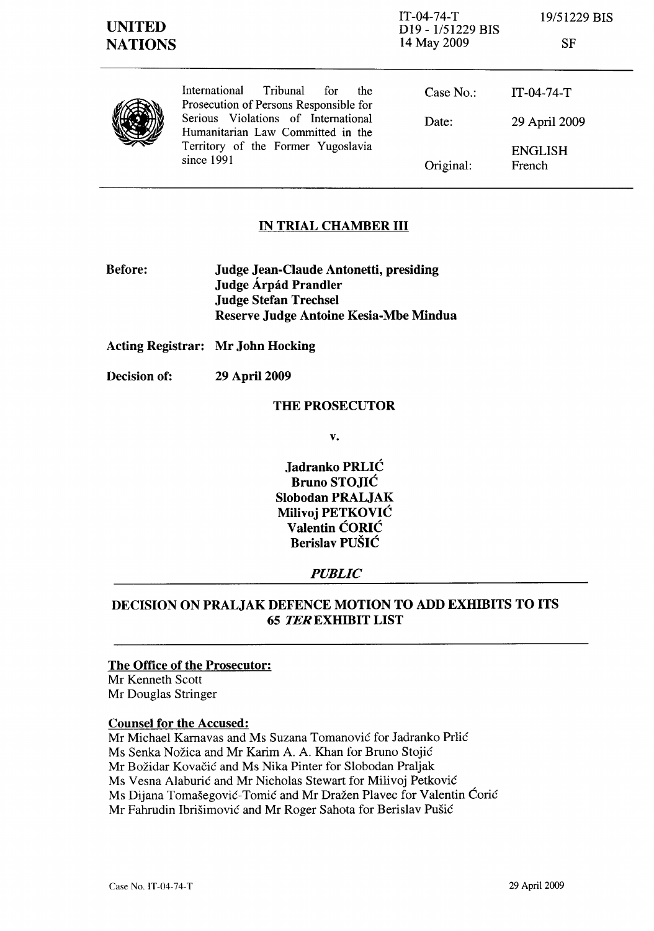| <b>SF</b> |
|-----------|
|           |
|           |



International Tribunal for the Prosecution of Persons Responsible for Serious Violations of International Humanitarian Law Committed in the Territory of the Former Yugoslavia since 1991

| Case $No.$ | $IT-04-74-T$             |
|------------|--------------------------|
| Date:      | 29 April 2009            |
| Original:  | <b>ENGLISH</b><br>French |

#### IN TRIAL CHAMBER III

Before: Judge Jean-Claude Antonetti, presiding Judge Árpád Prandler Judge Stefan Trechsel Reserve Judge Antoine Kesia-Mbe Mindua

Acting Registrar: Mr John Hocking

Decision of: 29 April 2009

#### THE PROSECUTOR

v.

Jadranko PRLIC Bruno STOJIC Slobodan PRALJAK Milivoj PETKOVIC Valentin CORIC Berislav PUSIC

#### *PUBLIC*

## DECISION ON PRALJAK DEFENCE MOTION TO ADD EXHffilTS TO ITS **65 TEREXHIBIT LIST**

#### The Office of the Prosecutor:

Mr Kenneth Scott Mr Douglas Stringer

#### Counsel for the Accused:

Mr Michael Karnavas and Ms Suzana Tomanović for Jadranko Prlić Ms Senka Nozica and Mr Karim A. A. Khan for Bruno Stojic Mr Božidar Kovačić and Ms Nika Pinter for Slobodan Praljak Ms Vesna Alaburic and Mr Nicholas Stewart for Milivoj Petkovic Ms Dijana Tomašegović-Tomić and Mr Dražen Plavec for Valentin Ćorić Mr Fahrudin Ibrisimovic and Mr Roger Sahota for Berislav Pusic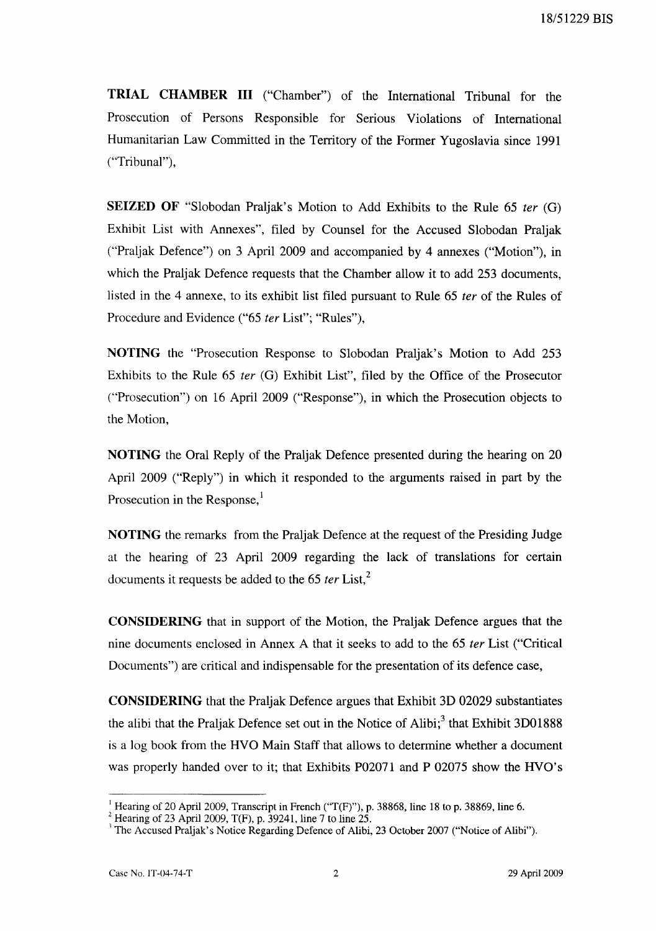**TRIAL CHAMBER III** ("Chamber") of the International Tribunal for the Prosecution of Persons Responsible for Serious Violations of International Humanitarian Law Committed in the Territory of the Former Yugoslavia since 1991 ("Tribunal"),

**SEIZED OF** "Slobodan Praljak's Motion to Add Exhibits to the Rule 65 ter (G) Exhibit List with Annexes", filed by Counsel for the Accused Slobodan Praljak ("Praljak Defence") on 3 April 2009 and accompanied by 4 annexes ("Motion"), in which the Praljak Defence requests that the Chamber allow it to add 253 documents, listed in the 4 annexe, to its exhibit list filed pursuant to Rule 65 ter of the Rules of Procedure and Evidence ("65 ter List"; "Rules"),

**NOTING** the "Prosecution Response to Slobodan Praljak's Motion to Add 253 Exhibits to the Rule  $65$  *ter* (G) Exhibit List", filed by the Office of the Prosecutor ("Prosecution") on 16 April 2009 ("Response"), in which the Prosecution objects to the Motion,

**NOTING** the Oral Reply of the Praljak Defence presented during the hearing on 20 April 2009 ("Reply") in which it responded to the arguments raised in part by the Prosecution in the Response. $<sup>1</sup>$ </sup>

**NOTING** the remarks from the Praljak Defence at the request of the Presiding Judge at the hearing of 23 April 2009 regarding the lack of translations for certain documents it requests be added to the  $65$  ter List,<sup>2</sup>

**CONSIDERING** that in support of the Motion, the Praljak Defence argues that the nine documents enclosed in Annex A that it seeks to add to the 65 ter List ("Critical Documents") are critical and indispensable for the presentation of its defence case,

**CONSIDERING** that the Praljak Defence argues that Exhibit 3D 02029 substantiates the alibi that the Praljak Defence set out in the Notice of Alibi; $3$  that Exhibit 3D01888 is a log book from the HVO Main Staff that allows to determine whether a document was properly handed over to it; that Exhibits P02071 and P 02075 show the HVO's

<sup>&</sup>lt;sup>1</sup> Hearing of 20 April 2009, Transcript in French ("T(F)"), p. 38868, line 18 to p. 38869, line 6.

<sup>&</sup>lt;sup>2</sup> Hearing of 23 April 2009, T(F), p. 39241, line 7 to line 25.

<sup>&</sup>lt;sup>1</sup> The Accused Praljak's Notice Regarding Defence of Alibi, 23 October 2007 ("Notice of Alibi").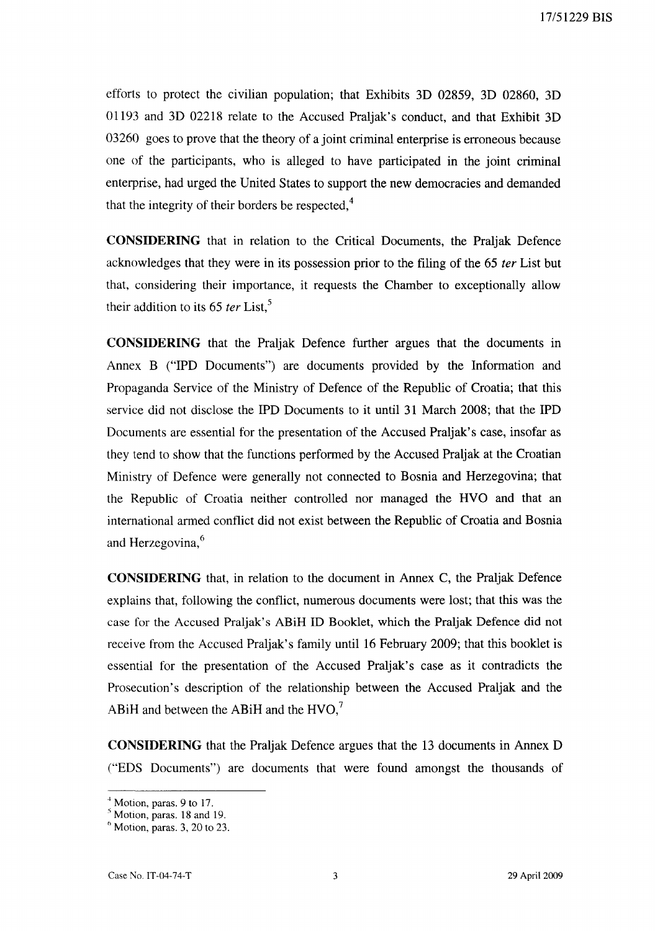efforts to protect the civilian population; that Exhibits 3D 02859, 3D 02860, 3D 01193 and 3D 02218 relate to the Accused Praljak's conduct, and that Exhibit 3D 03260 goes to prove that the theory of a joint criminal enterprise is erroneous because one of the participants, who is alleged to have participated in the joint criminal enterprise, had urged the United States to support the new democracies and demanded that the integrity of their borders be respected. $4$ 

CONSIDERING that in relation to the Critical Documents, the Praljak Defence acknowledges that they were in its possession prior to the filing of the 65 *ter* List but that, considering their importance, it requests the Chamber to exceptionally allow their addition to its  $65$  *ter* List,<sup>5</sup>

CONSIDERING that the Praljak Defence further argues that the documents in Annex B ("IPD Documents") are documents provided by the Information and Propaganda Service of the Ministry of Defence of the Republic of Croatia; that this service did not disclose the IPD Documents to it until 31 March 2008; that the IPD Documents are essential for the presentation of the Accused Praljak's case, insofar as they tend to show that the functions performed by the Accused Praljak at the Croatian Ministry of Defence were generally not connected to Bosnia and Herzegovina; that the Republic of Croatia neither controlled nor managed the HVQ and that an international armed conflict did not exist between the Republic of Croatia and Bosnia and Herzegovina,<sup>6</sup>

CONSIDERING that, in relation to the document in Annex C, the Praljak Defence explains that, following the conflict, numerous documents were lost; that this was the case for the Accused Praljak's ABiH ID Booklet, which the Praljak Defence did not receive from the Accused Praljak's family until 16 February 2009; that this booklet is essential for the presentation of the Accused Praljak's case as it contradicts the Prosecution's description of the relationship between the Accused Praljak and the ABiH and between the ABiH and the  $HVO<sub>1</sub><sup>7</sup>$ 

CONSIDERING that the Praljak Defence argues that the 13 documents in Annex D ("EDS Documents") are documents that were found amongst the thousands of

 $<sup>4</sup>$  Motion, paras. 9 to 17.</sup>

 $<sup>5</sup>$  Motion, paras. 18 and 19.</sup>

 $<sup>6</sup>$  Motion, paras. 3, 20 to 23.</sup>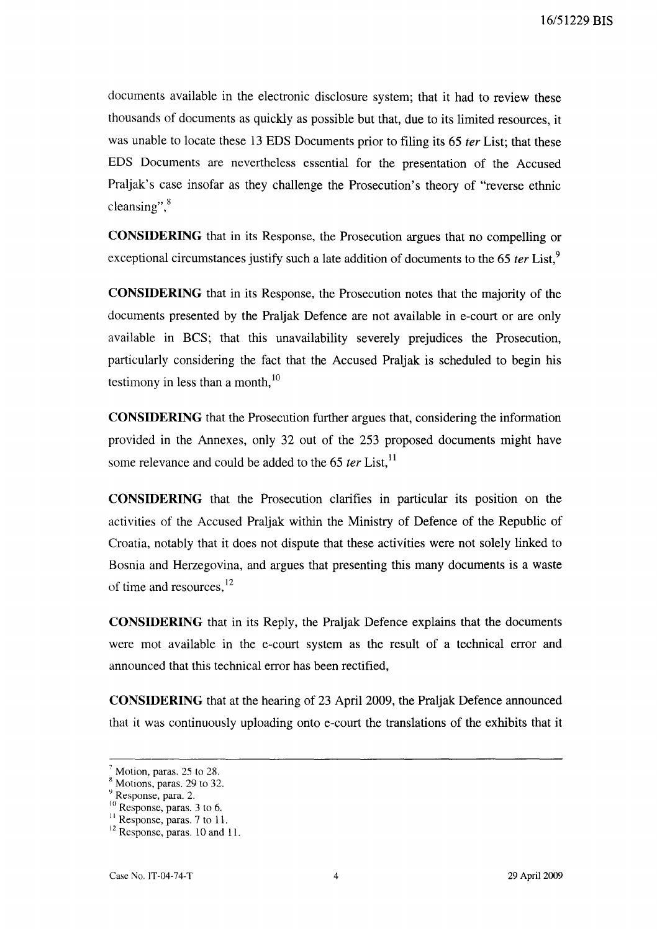documents available in the electronic disclosure system; that it had to review these thousands of documents as quickly as possible but that, due to its limited resources, it was unable to locate these 13 EDS Documents prior to filing its 65 ter List; that these EDS Documents are nevertheless essential for the presentation of the Accused Praljak's case insofar as they challenge the Prosecution's theory of "reverse ethnic cleansing",<sup>8</sup>

**CONSIDERING** that in its Response, the Prosecution argues that no compelling or exceptional circumstances justify such a late addition of documents to the 65  $ter$  List.<sup>9</sup>

**CONSIDERING** that in its Response, the Prosecution notes that the majority of the documents presented by the Praljak Defence are not available in e-court or are only available in BCS; that this unavailability severely prejudices the Prosecution, particularly considering the fact that the Accused Praljak is scheduled to begin his testimony in less than a month, $^{10}$ 

**CONSIDERING** that the Prosecution further argues that, considering the information provided in the Annexes, only 32 out of the 253 proposed documents might have some relevance and could be added to the 65  $ter$  List,<sup>11</sup>

**CONSIDERING** that the Prosecution clarifies in particular its position on the activities of the Accused Praljak within the Ministry of Defence of the Republic of Croatia, notably that it does not dispute that these activities were not solely linked to Bosnia and Herzegovina, and argues that presenting this many documents is a waste of time and resources,  $^{12}$ 

**CONSIDERING** that in its Reply, the Praljak Defence explains that the documents were mot available in the e-court system as the result of a technical error and announced that this technical error has been rectified,

**CONSIDERING** that at the hearing of 23 April 2009, the Praljak Defence announced that it was continuously uploading onto e-court the translations of the exhibits that it

 $<sup>7</sup>$  Motion, paras. 25 to 28.</sup>

 $<sup>8</sup>$  Motions, paras. 29 to 32.</sup>

*<sup>Y</sup>*Response, para. 2.

<sup>&</sup>lt;sup>10</sup> Response, paras. 3 to 6.

 $<sup>11</sup>$  Response, paras. 7 to 11.</sup>

<sup>&</sup>lt;sup>12</sup> Response, paras. 10 and 11.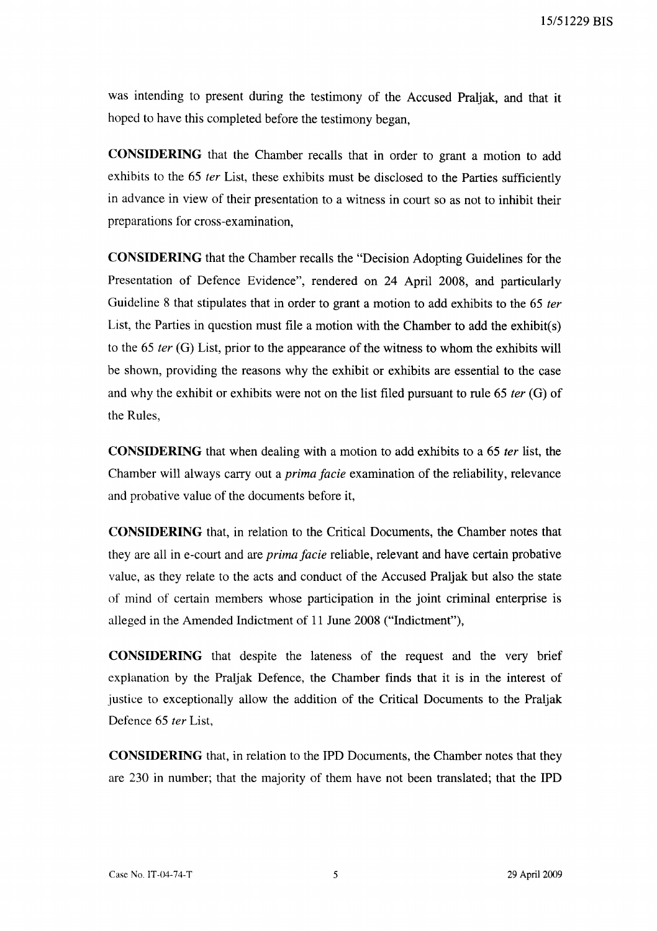was intending to present during the testimony of the Accused Praljak, and that it hoped to have this completed before the testimony began,

**CONSIDERING** that the Chamber recalls that in order to grant a motion to add exhibits to the 65 *fer* List, these exhibits must be disclosed to the Parties sufficiently in advance in view of their presentation to a witness in court so as not to inhibit their preparations for cross-examination,

**CONSIDERING** that the Chamber recalls the "Decision Adopting Guidelines for the Presentation of Defence Evidence", rendered on 24 April 2008, and particularly Guideline 8 that stipulates that in order to grant a motion to add exhibits to the 65 *fer*  List, the Parties in question must file a motion with the Chamber to add the exhibit(s) to the 65 *ter* (G) List, prior to the appearance of the witness to whom the exhibits will be shown, providing the reasons why the exhibit or exhibits are essential to the case and why the exhibit or exhibits were not on the list filed pursuant to rule 65 *ter* (G) of the Rules,

**CONSIDERING** that when dealing with a motion to add exhibits to a 65 *fer* list, the Chamber will always carry out a *prima facie* examination of the reliability, relevance and probative value of the documents before it,

**CONSIDERING** that, in relation to the Critical Documents, the Chamber notes that they are all in e-court and are *prima facie* reliable, relevant and have certain probative value, as they relate to the acts and conduct of the Accused Praljak but also the state of mind of certain members whose participation in the joint criminal enterprise is alleged in the Amended Indictment of **11** June 2008 ("Indictment"),

**CONSIDERING** that despite the lateness of the request and the very brief explanation by the Praljak Defence, the Chamber finds that it is in the interest of justice to exceptionally allow the addition of the Critical Documents to the Praljak Defence 65 *ter* List,

**CONSIDERING** that, in relation to the IPD Documents, the Chamber notes that they are 230 in number; that the majority of them have not been translated; that the **IPD**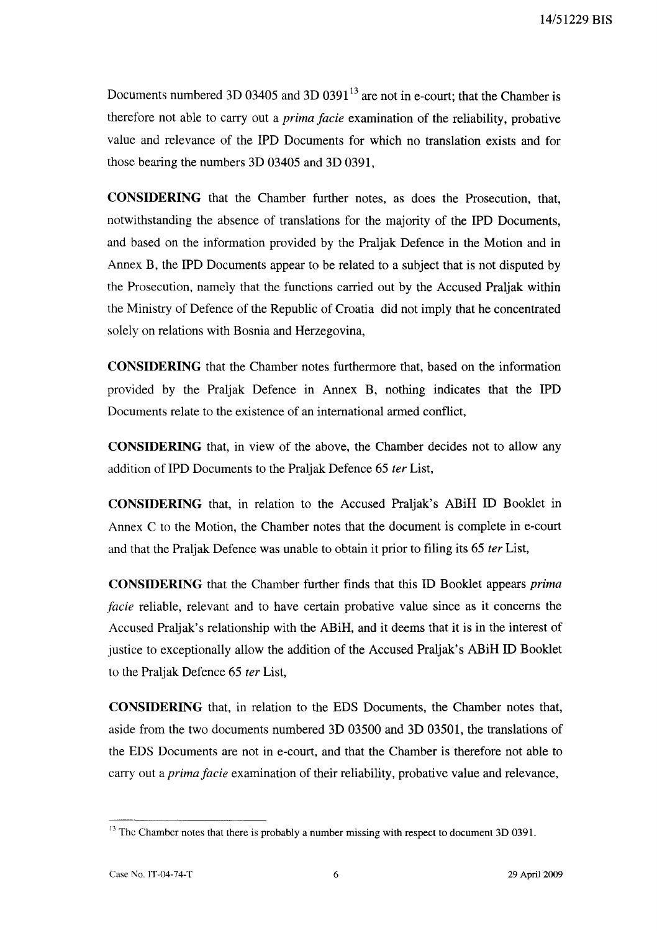Documents numbered 3D 03405 and 3D 0391<sup>13</sup> are not in e-court; that the Chamber is therefore not able to carry out a *prima facie* examination of the reliability, probative value and relevance of the IPD Documents for which no translation exists and for those bearing the numbers 3D 03405 and 3D 0391,

**CONSIDERING** that the Chamber further notes, as does the Prosecution, that, notwithstanding the absence of translations for the majority of the IPD Documents, and based on the information provided by the Praljak Defence in the Motion and in Annex B, the IPD Documents appear to be related to a subject that is not disputed by the Prosecution, namely that the functions carried out by the Accused Praljak within the Ministry of Defence of the Republic of Croatia did not imply that he concentrated solely on relations with Bosnia and Herzegovina,

**CONSIDERING** that the Chamber notes furthermore that, based on the information provided by the Praljak Defence in Annex B, nothing indicates that the IPD Documents relate to the existence of an international armed conflict,

**CONSIDERING** that, in view of the above, the Chamber decides not to allow any addition of IPD Documents to the Praljak Defence 65 *ter* List,

**CONSIDERING** that, in relation to the Accused Praljak's ABiH ID Booklet in Annex C to the Motion, the Chamber notes that the document is complete in e-court and that the Praljak Defence was unable to obtain it prior to filing its 65 *ter* List,

**CONSIDERING** that the Chamber further finds that this ID Booklet appears *prima facie* reliable, relevant and to have certain probative value since as it concerns the Accused Praljak's relationship with the ABiH, and it deems that it is in the interest of justice to exceptionally allow the addition of the Accused Praljak's ABiH ID Booklet to the Praljak Defence 65 *ter* List,

**CONSIDERING** that, in relation to the EDS Documents, the Chamber notes that, aside from the two documents numbered 3D 03500 and 3D 03501, the translations of the EDS Documents are not in e-court, and that the Chamber is therefore not able to carry out a *prima facie* examination of their reliability, probative value and relevance,

<sup>&</sup>lt;sup>13</sup> The Chamber notes that there is probably a number missing with respect to document 3D 0391.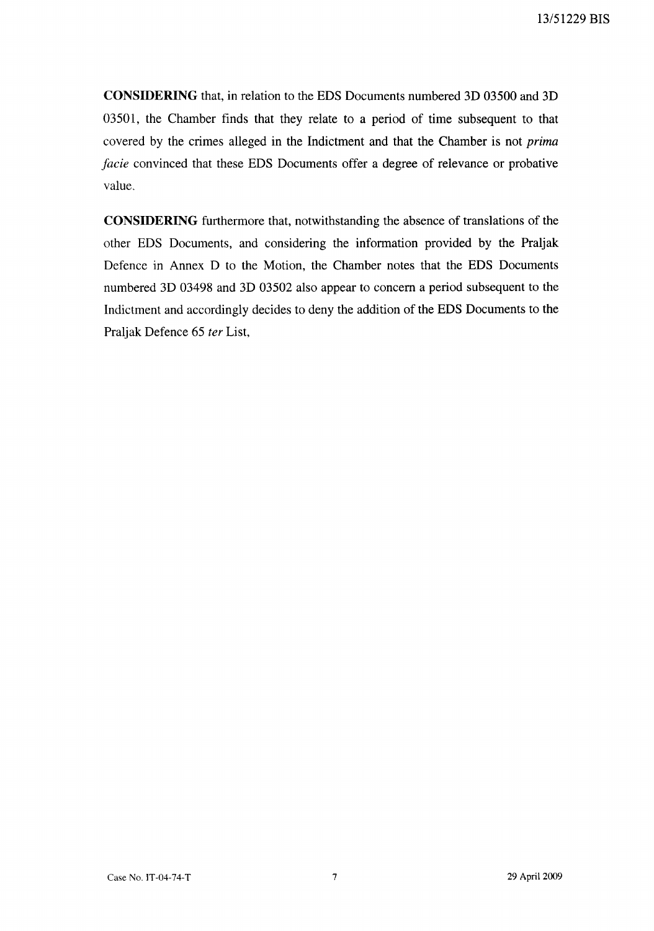**CONSIDERING** that, in relation to the EDS Documents numbered 3D 03500 and 3D 03501, the Chamber finds that they relate to a period of time subsequent to that covered by the crimes alleged in the Indictment and that the Chamber is not *prima facie* convinced that these EDS Documents offer a degree of relevance or probative value.

**CONSIDERING** furthermore that, notwithstanding the absence of translations of the other EDS Documents, and considering the information provided by the Praljak Defence in Annex D to the Motion, the Chamber notes that the EDS Documents numbered 3D 03498 and 3D 03502 also appear to concern a period subsequent to the Indictment and accordingly decides to deny the addition of the EDS Documents to the Praljak Defence 65 *ter* List,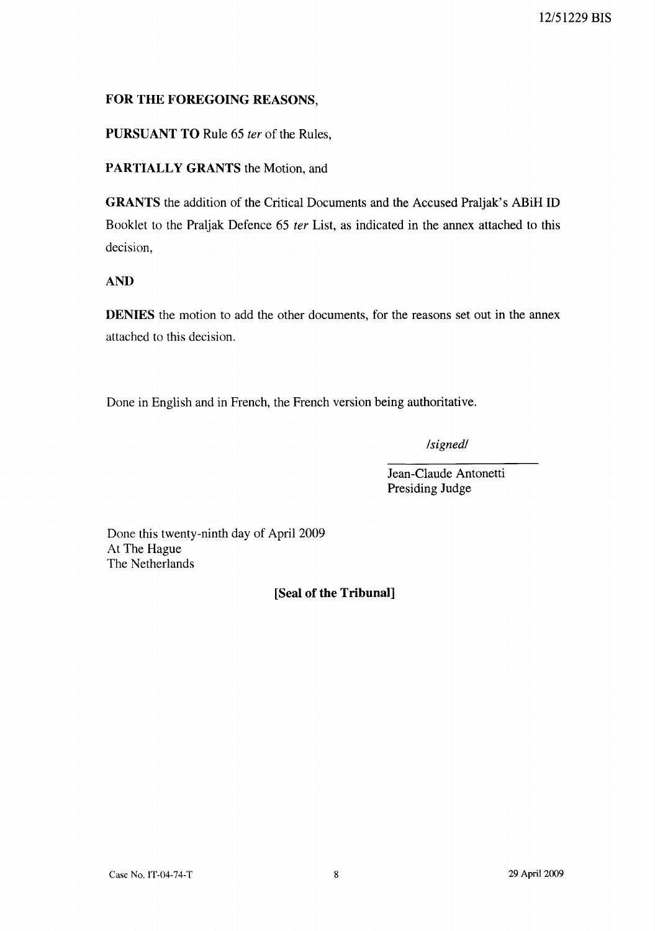## **FOR THE FOREGOING** REASONS,

**PURSUANT TO** Rule 65 *ter* of the Rules,

**PARTIALLY GRANTS** the Motion, and

**GRANTS** the addition of the Critical Documents and the Accused Praljak's ABiH ID Booklet to the Praljak Defence 65 *ter* List, as indicated in the annex attached to this decision,

**AND** 

**DENIES** the motion to add the other documents, for the reasons set out in the annex attached to this decision.

Done in English and in French, the French version being authoritative.

*Isignedl* 

Jean-Claude Antonetti Presiding Judge

Done this twenty-ninth day of April 2009 At The Hague The Netherlands

**[Seal of the Tribunal]**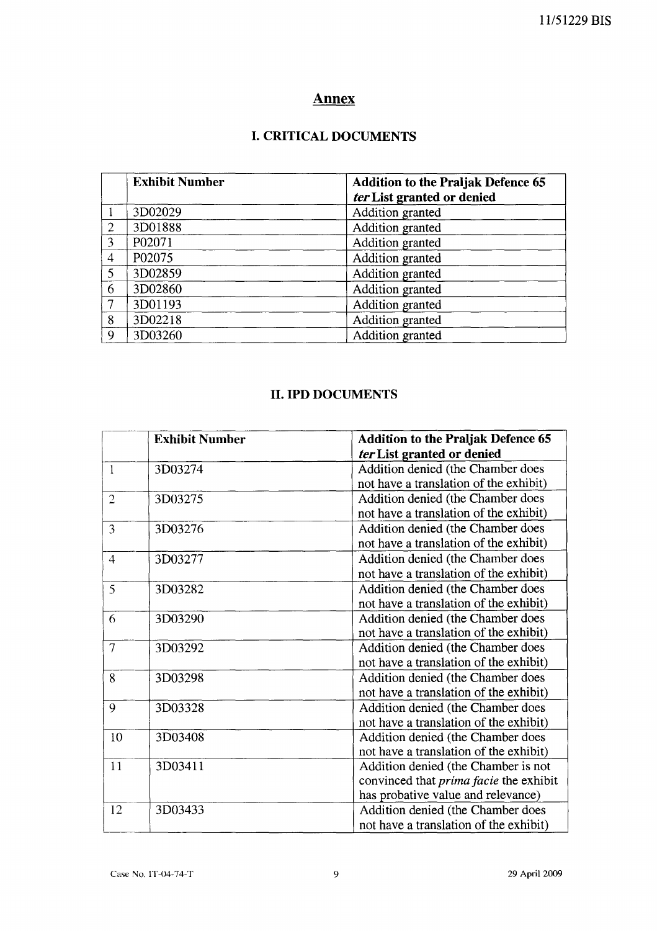# **Annex**

# **I. CRITICAL DOCUMENTS**

|                | <b>Exhibit Number</b> | <b>Addition to the Praljak Defence 65</b><br>ter List granted or denied |
|----------------|-----------------------|-------------------------------------------------------------------------|
|                | 3D02029               | Addition granted                                                        |
| $\overline{2}$ | 3D01888               | Addition granted                                                        |
| 3              | P02071                | Addition granted                                                        |
| $\overline{4}$ | P02075                | Addition granted                                                        |
| 5              | 3D02859               | Addition granted                                                        |
| 6              | 3D02860               | Addition granted                                                        |
| $\tau$         | 3D01193               | Addition granted                                                        |
| 8              | 3D02218               | Addition granted                                                        |
| $\mathbf Q$    | 3D03260               | Addition granted                                                        |

# **II. IPD DOCUMENTS**

|                | <b>Exhibit Number</b> | <b>Addition to the Praljak Defence 65</b><br>ter List granted or denied                                                    |
|----------------|-----------------------|----------------------------------------------------------------------------------------------------------------------------|
| 1              | 3D03274               | Addition denied (the Chamber does<br>not have a translation of the exhibit)                                                |
| $\overline{2}$ | 3D03275               | Addition denied (the Chamber does<br>not have a translation of the exhibit)                                                |
| 3              | 3D03276               | Addition denied (the Chamber does<br>not have a translation of the exhibit)                                                |
| $\overline{4}$ | 3D03277               | Addition denied (the Chamber does<br>not have a translation of the exhibit)                                                |
| 5              | 3D03282               | Addition denied (the Chamber does<br>not have a translation of the exhibit)                                                |
| 6              | 3D03290               | Addition denied (the Chamber does<br>not have a translation of the exhibit)                                                |
| 7              | 3D03292               | Addition denied (the Chamber does<br>not have a translation of the exhibit)                                                |
| 8              | 3D03298               | Addition denied (the Chamber does<br>not have a translation of the exhibit)                                                |
| 9              | 3D03328               | Addition denied (the Chamber does<br>not have a translation of the exhibit)                                                |
| 10             | 3D03408               | Addition denied (the Chamber does<br>not have a translation of the exhibit)                                                |
| 11             | 3D03411               | Addition denied (the Chamber is not<br>convinced that <i>prima facie</i> the exhibit<br>has probative value and relevance) |
| 12             | 3D03433               | Addition denied (the Chamber does<br>not have a translation of the exhibit)                                                |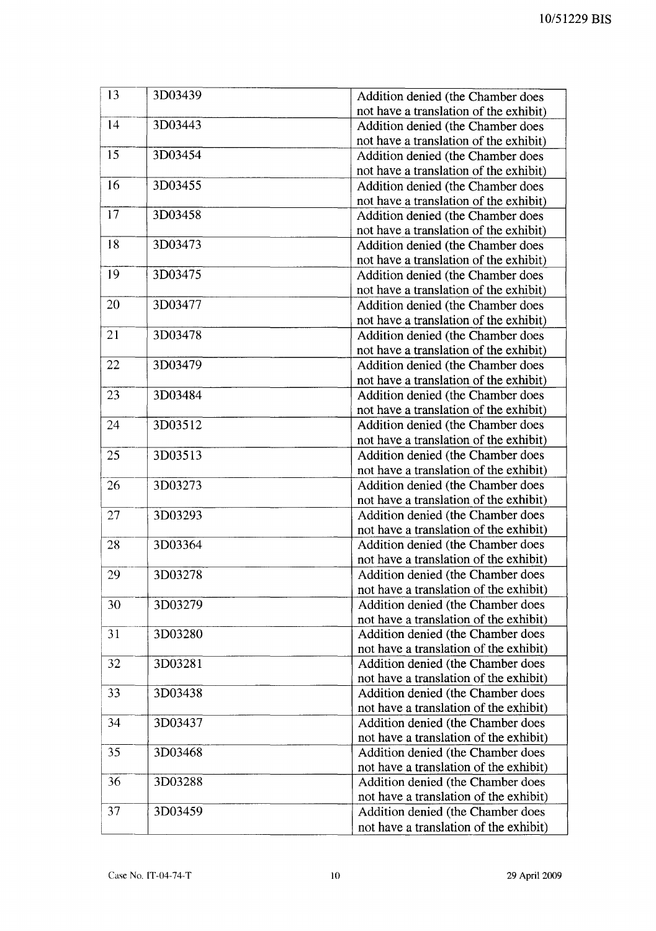| 13 | 3D03439 | Addition denied (the Chamber does                                           |
|----|---------|-----------------------------------------------------------------------------|
| 14 |         | not have a translation of the exhibit)                                      |
|    | 3D03443 | Addition denied (the Chamber does                                           |
| 15 |         | not have a translation of the exhibit)                                      |
|    | 3D03454 | Addition denied (the Chamber does                                           |
|    |         | not have a translation of the exhibit)                                      |
| 16 | 3D03455 | Addition denied (the Chamber does                                           |
| 17 |         | not have a translation of the exhibit)                                      |
|    | 3D03458 | Addition denied (the Chamber does<br>not have a translation of the exhibit) |
| 18 | 3D03473 | Addition denied (the Chamber does                                           |
|    |         | not have a translation of the exhibit)                                      |
| 19 | 3D03475 | Addition denied (the Chamber does                                           |
|    |         | not have a translation of the exhibit)                                      |
| 20 | 3D03477 | Addition denied (the Chamber does                                           |
|    |         | not have a translation of the exhibit)                                      |
| 21 | 3D03478 | Addition denied (the Chamber does                                           |
|    |         | not have a translation of the exhibit)                                      |
| 22 | 3D03479 | Addition denied (the Chamber does                                           |
|    |         | not have a translation of the exhibit)                                      |
| 23 | 3D03484 | Addition denied (the Chamber does                                           |
|    |         | not have a translation of the exhibit)                                      |
| 24 | 3D03512 | Addition denied (the Chamber does                                           |
|    |         | not have a translation of the exhibit)                                      |
|    |         |                                                                             |
| 25 | 3D03513 | Addition denied (the Chamber does<br>not have a translation of the exhibit) |
| 26 | 3D03273 | Addition denied (the Chamber does                                           |
|    |         | not have a translation of the exhibit)                                      |
| 27 | 3D03293 | Addition denied (the Chamber does                                           |
|    |         | not have a translation of the exhibit)                                      |
| 28 | 3D03364 | Addition denied (the Chamber does                                           |
|    |         | not have a translation of the exhibit)                                      |
| 29 | 3D03278 | Addition denied (the Chamber does                                           |
|    |         | not have a translation of the exhibit)                                      |
| 30 | 3D03279 | Addition denied (the Chamber does                                           |
|    |         | not have a translation of the exhibit)                                      |
| 31 | 3D03280 | Addition denied (the Chamber does                                           |
|    |         | not have a translation of the exhibit)                                      |
| 32 | 3D03281 | Addition denied (the Chamber does                                           |
|    |         | not have a translation of the exhibit)                                      |
| 33 | 3D03438 | Addition denied (the Chamber does                                           |
|    |         | not have a translation of the exhibit)                                      |
| 34 | 3D03437 | Addition denied (the Chamber does                                           |
|    |         | not have a translation of the exhibit)                                      |
| 35 | 3D03468 | Addition denied (the Chamber does                                           |
|    |         | not have a translation of the exhibit)                                      |
| 36 | 3D03288 | Addition denied (the Chamber does                                           |
|    |         | not have a translation of the exhibit)                                      |
| 37 | 3D03459 | Addition denied (the Chamber does                                           |
|    |         | not have a translation of the exhibit)                                      |
|    |         |                                                                             |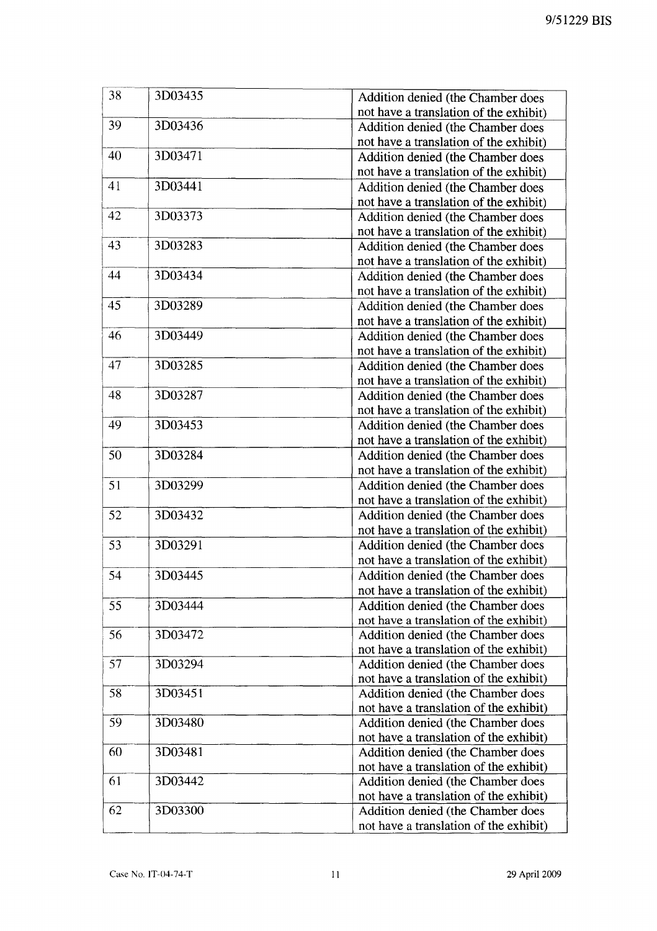| 38 | 3D03435 | Addition denied (the Chamber does      |
|----|---------|----------------------------------------|
|    |         | not have a translation of the exhibit) |
| 39 | 3D03436 | Addition denied (the Chamber does      |
|    |         | not have a translation of the exhibit) |
| 40 | 3D03471 | Addition denied (the Chamber does      |
|    |         | not have a translation of the exhibit) |
| 41 | 3D03441 | Addition denied (the Chamber does      |
|    |         | not have a translation of the exhibit) |
| 42 | 3D03373 | Addition denied (the Chamber does      |
|    |         | not have a translation of the exhibit) |
| 43 | 3D03283 | Addition denied (the Chamber does      |
|    |         | not have a translation of the exhibit) |
| 44 | 3D03434 | Addition denied (the Chamber does      |
|    |         | not have a translation of the exhibit) |
| 45 | 3D03289 | Addition denied (the Chamber does      |
|    |         | not have a translation of the exhibit) |
| 46 | 3D03449 | Addition denied (the Chamber does      |
|    |         | not have a translation of the exhibit) |
| 47 | 3D03285 | Addition denied (the Chamber does      |
|    |         | not have a translation of the exhibit) |
| 48 | 3D03287 | Addition denied (the Chamber does      |
|    |         | not have a translation of the exhibit) |
| 49 | 3D03453 | Addition denied (the Chamber does      |
|    |         | not have a translation of the exhibit) |
| 50 | 3D03284 | Addition denied (the Chamber does      |
|    |         | not have a translation of the exhibit) |
| 51 | 3D03299 | Addition denied (the Chamber does      |
|    |         | not have a translation of the exhibit) |
| 52 | 3D03432 | Addition denied (the Chamber does      |
|    |         | not have a translation of the exhibit) |
| 53 | 3D03291 | Addition denied (the Chamber does      |
|    |         | not have a translation of the exhibit) |
| 54 | 3D03445 | Addition denied (the Chamber does      |
|    |         | not have a translation of the exhibit) |
| 55 | 3D03444 | Addition denied (the Chamber does      |
|    |         | not have a translation of the exhibit) |
| 56 | 3D03472 | Addition denied (the Chamber does      |
|    |         | not have a translation of the exhibit) |
| 57 | 3D03294 | Addition denied (the Chamber does      |
|    |         | not have a translation of the exhibit) |
| 58 | 3D03451 | Addition denied (the Chamber does      |
|    |         | not have a translation of the exhibit) |
| 59 | 3D03480 | Addition denied (the Chamber does      |
|    |         | not have a translation of the exhibit) |
| 60 | 3D03481 | Addition denied (the Chamber does      |
|    |         | not have a translation of the exhibit) |
| 61 | 3D03442 | Addition denied (the Chamber does      |
|    |         | not have a translation of the exhibit) |
| 62 | 3D03300 | Addition denied (the Chamber does      |
|    |         | not have a translation of the exhibit) |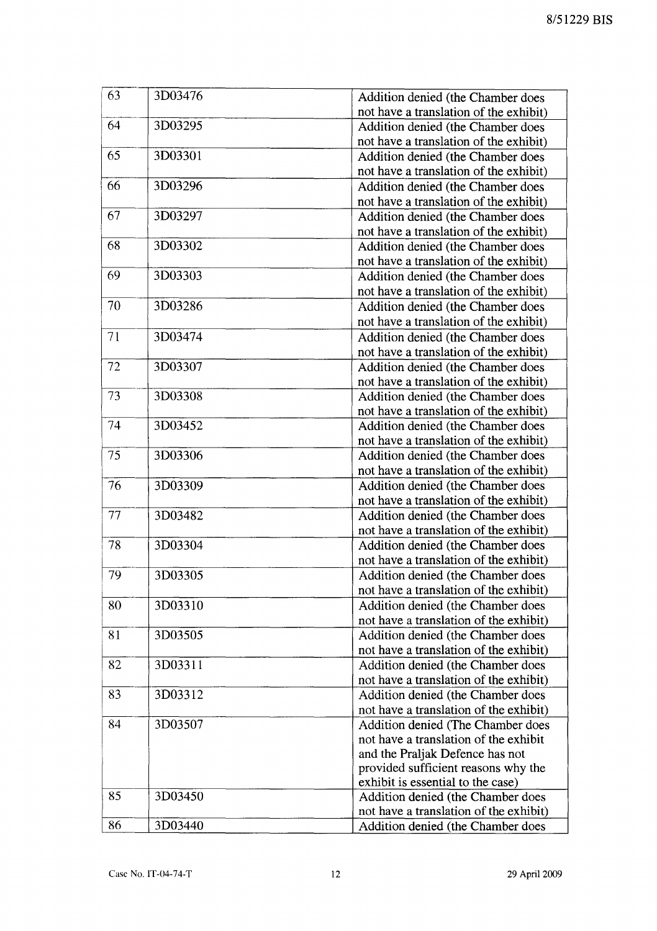| 63 | 3D03476 | Addition denied (the Chamber does      |
|----|---------|----------------------------------------|
|    |         | not have a translation of the exhibit) |
| 64 | 3D03295 | Addition denied (the Chamber does      |
|    |         | not have a translation of the exhibit) |
| 65 | 3D03301 | Addition denied (the Chamber does      |
|    |         | not have a translation of the exhibit) |
| 66 | 3D03296 | Addition denied (the Chamber does      |
|    |         | not have a translation of the exhibit) |
| 67 | 3D03297 | Addition denied (the Chamber does      |
|    |         | not have a translation of the exhibit) |
| 68 | 3D03302 | Addition denied (the Chamber does      |
|    |         | not have a translation of the exhibit) |
| 69 | 3D03303 | Addition denied (the Chamber does      |
|    |         | not have a translation of the exhibit) |
| 70 | 3D03286 | Addition denied (the Chamber does      |
|    |         | not have a translation of the exhibit) |
| 71 | 3D03474 | Addition denied (the Chamber does      |
|    |         | not have a translation of the exhibit) |
| 72 | 3D03307 | Addition denied (the Chamber does      |
|    |         | not have a translation of the exhibit) |
| 73 | 3D03308 | Addition denied (the Chamber does      |
|    |         | not have a translation of the exhibit) |
| 74 | 3D03452 | Addition denied (the Chamber does      |
|    |         | not have a translation of the exhibit) |
| 75 | 3D03306 | Addition denied (the Chamber does      |
|    |         | not have a translation of the exhibit) |
| 76 | 3D03309 | Addition denied (the Chamber does      |
|    |         | not have a translation of the exhibit) |
| 77 | 3D03482 | Addition denied (the Chamber does      |
|    |         | not have a translation of the exhibit) |
| 78 | 3D03304 | Addition denied (the Chamber does      |
|    |         | not have a translation of the exhibit) |
| 79 | 3D03305 | Addition denied (the Chamber does      |
|    |         | not have a translation of the exhibit) |
| 80 | 3D03310 | Addition denied (the Chamber does      |
|    |         | not have a translation of the exhibit) |
| 81 | 3D03505 | Addition denied (the Chamber does      |
|    |         | not have a translation of the exhibit) |
| 82 | 3D03311 | Addition denied (the Chamber does      |
|    |         | not have a translation of the exhibit) |
| 83 | 3D03312 | Addition denied (the Chamber does      |
|    |         | not have a translation of the exhibit) |
| 84 | 3D03507 | Addition denied (The Chamber does      |
|    |         | not have a translation of the exhibit  |
|    |         | and the Praljak Defence has not        |
|    |         | provided sufficient reasons why the    |
|    |         | exhibit is essential to the case)      |
| 85 | 3D03450 | Addition denied (the Chamber does      |
|    |         | not have a translation of the exhibit) |
| 86 | 3D03440 | Addition denied (the Chamber does      |
|    |         |                                        |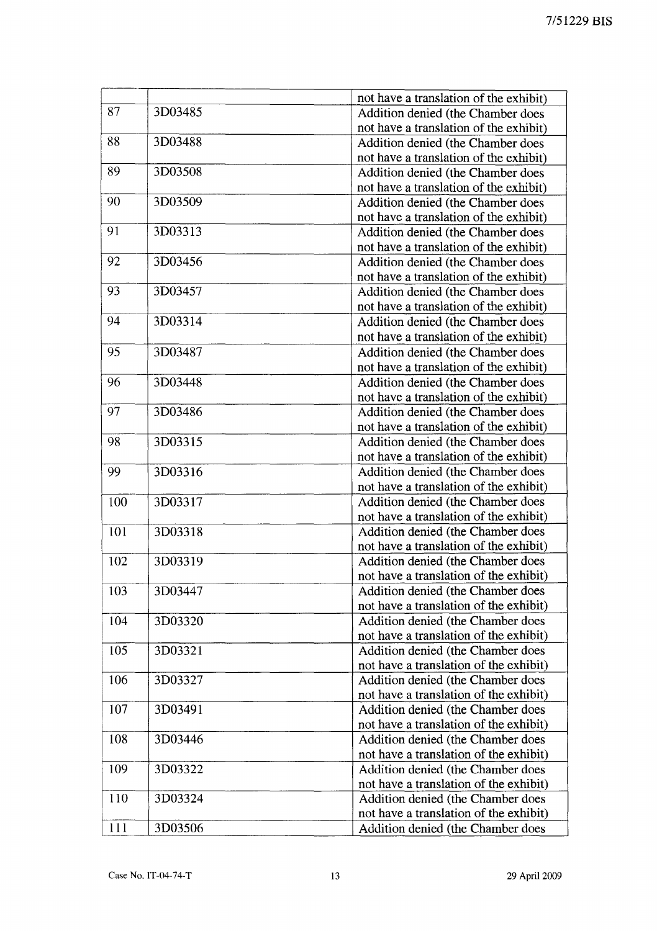|     |         | not have a translation of the exhibit) |
|-----|---------|----------------------------------------|
| 87  | 3D03485 | Addition denied (the Chamber does      |
|     |         | not have a translation of the exhibit) |
| 88  | 3D03488 | Addition denied (the Chamber does      |
|     |         | not have a translation of the exhibit) |
| 89  | 3D03508 | Addition denied (the Chamber does      |
|     |         | not have a translation of the exhibit) |
| 90  | 3D03509 | Addition denied (the Chamber does      |
|     |         | not have a translation of the exhibit) |
| 91  | 3D03313 | Addition denied (the Chamber does      |
|     |         | not have a translation of the exhibit) |
| 92  | 3D03456 | Addition denied (the Chamber does      |
|     |         | not have a translation of the exhibit) |
| 93  | 3D03457 | Addition denied (the Chamber does      |
|     |         | not have a translation of the exhibit) |
| 94  | 3D03314 | Addition denied (the Chamber does      |
|     |         | not have a translation of the exhibit) |
| 95  | 3D03487 | Addition denied (the Chamber does      |
|     |         | not have a translation of the exhibit) |
| 96  | 3D03448 | Addition denied (the Chamber does      |
|     |         | not have a translation of the exhibit) |
| 97  | 3D03486 | Addition denied (the Chamber does      |
|     |         | not have a translation of the exhibit) |
| 98  | 3D03315 | Addition denied (the Chamber does      |
|     |         | not have a translation of the exhibit) |
| 99  | 3D03316 | Addition denied (the Chamber does      |
|     |         | not have a translation of the exhibit) |
| 100 | 3D03317 | Addition denied (the Chamber does      |
|     |         | not have a translation of the exhibit) |
| 101 | 3D03318 | Addition denied (the Chamber does      |
|     |         | not have a translation of the exhibit) |
| 102 | 3D03319 | Addition denied (the Chamber does      |
|     |         | not have a translation of the exhibit) |
| 103 | 3D03447 | Addition denied (the Chamber does      |
|     |         | not have a translation of the exhibit) |
| 104 | 3D03320 | Addition denied (the Chamber does      |
|     |         | not have a translation of the exhibit) |
| 105 | 3D03321 | Addition denied (the Chamber does      |
|     |         | not have a translation of the exhibit) |
| 106 | 3D03327 | Addition denied (the Chamber does      |
|     |         | not have a translation of the exhibit) |
| 107 | 3D03491 | Addition denied (the Chamber does      |
|     |         | not have a translation of the exhibit) |
| 108 | 3D03446 | Addition denied (the Chamber does      |
|     |         | not have a translation of the exhibit) |
| 109 | 3D03322 | Addition denied (the Chamber does      |
|     |         | not have a translation of the exhibit) |
| 110 | 3D03324 | Addition denied (the Chamber does      |
|     |         | not have a translation of the exhibit) |
| 111 | 3D03506 | Addition denied (the Chamber does      |
|     |         |                                        |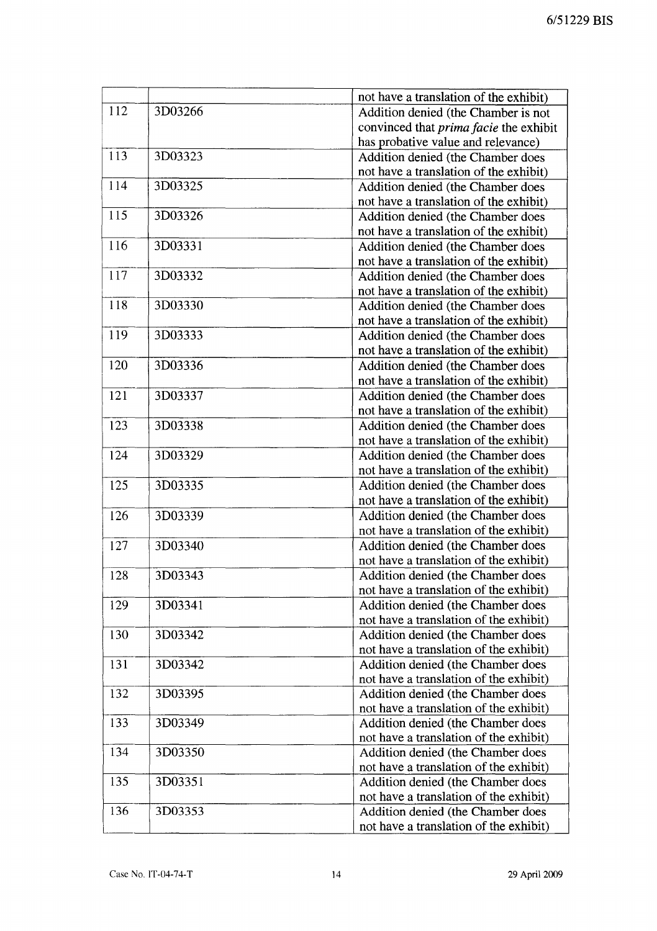|     |         | not have a translation of the exhibit)        |
|-----|---------|-----------------------------------------------|
| 112 | 3D03266 | Addition denied (the Chamber is not           |
|     |         | convinced that <i>prima facie</i> the exhibit |
|     |         | has probative value and relevance)            |
| 113 | 3D03323 | Addition denied (the Chamber does             |
|     |         | not have a translation of the exhibit)        |
| 114 | 3D03325 | Addition denied (the Chamber does             |
|     |         | not have a translation of the exhibit)        |
| 115 | 3D03326 | Addition denied (the Chamber does             |
|     |         | not have a translation of the exhibit)        |
| 116 | 3D03331 | Addition denied (the Chamber does             |
|     |         | not have a translation of the exhibit)        |
| 117 | 3D03332 | Addition denied (the Chamber does             |
|     |         | not have a translation of the exhibit)        |
| 118 | 3D03330 | Addition denied (the Chamber does             |
|     |         | not have a translation of the exhibit)        |
| 119 | 3D03333 | Addition denied (the Chamber does             |
|     |         | not have a translation of the exhibit)        |
| 120 | 3D03336 | Addition denied (the Chamber does             |
|     |         | not have a translation of the exhibit)        |
| 121 | 3D03337 | Addition denied (the Chamber does             |
|     |         | not have a translation of the exhibit)        |
| 123 | 3D03338 | Addition denied (the Chamber does             |
|     |         | not have a translation of the exhibit)        |
| 124 | 3D03329 | Addition denied (the Chamber does             |
|     |         | not have a translation of the exhibit)        |
| 125 | 3D03335 | Addition denied (the Chamber does             |
|     |         | not have a translation of the exhibit)        |
| 126 | 3D03339 | Addition denied (the Chamber does             |
|     |         | not have a translation of the exhibit)        |
| 127 | 3D03340 | Addition denied (the Chamber does             |
|     |         | not have a translation of the exhibit)        |
| 128 | 3D03343 | Addition denied (the Chamber does             |
|     |         | not have a translation of the exhibit)        |
| 129 | 3D03341 | Addition denied (the Chamber does             |
|     |         | not have a translation of the exhibit)        |
| 130 | 3D03342 | Addition denied (the Chamber does             |
|     |         | not have a translation of the exhibit)        |
| 131 | 3D03342 | Addition denied (the Chamber does             |
|     |         | not have a translation of the exhibit)        |
| 132 | 3D03395 | Addition denied (the Chamber does             |
|     |         | not have a translation of the exhibit)        |
| 133 | 3D03349 | Addition denied (the Chamber does             |
|     |         | not have a translation of the exhibit)        |
| 134 | 3D03350 | Addition denied (the Chamber does             |
|     |         | not have a translation of the exhibit)        |
| 135 | 3D03351 | Addition denied (the Chamber does             |
|     |         | not have a translation of the exhibit)        |
| 136 | 3D03353 | Addition denied (the Chamber does             |
|     |         | not have a translation of the exhibit)        |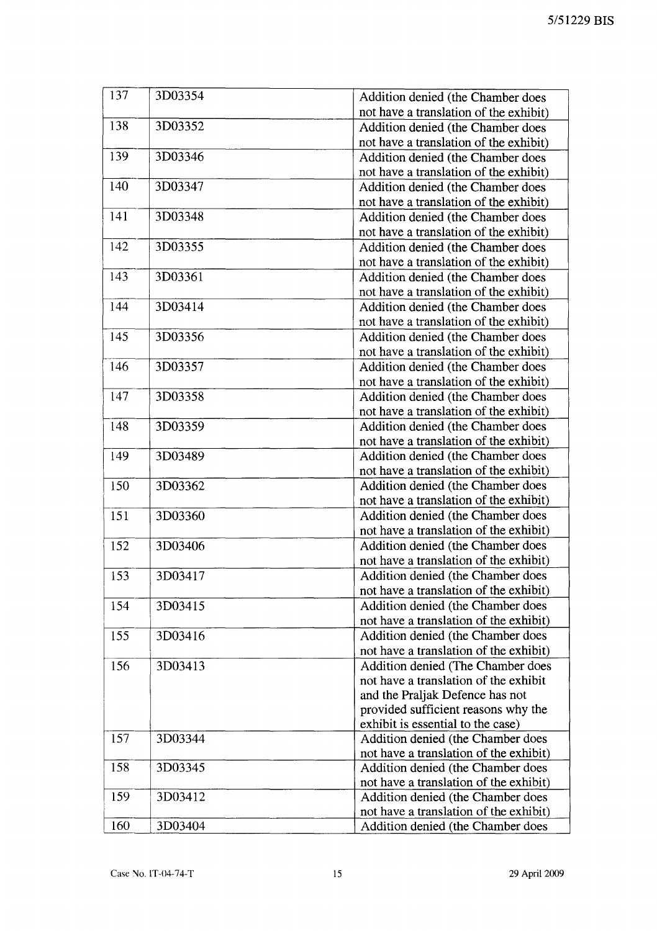| 137 | 3D03354 | Addition denied (the Chamber does                                           |
|-----|---------|-----------------------------------------------------------------------------|
|     |         | not have a translation of the exhibit)                                      |
| 138 | 3D03352 | Addition denied (the Chamber does                                           |
|     |         | not have a translation of the exhibit)                                      |
| 139 | 3D03346 | Addition denied (the Chamber does                                           |
|     |         | not have a translation of the exhibit)                                      |
| 140 | 3D03347 | Addition denied (the Chamber does                                           |
|     |         | not have a translation of the exhibit)                                      |
| 141 | 3D03348 | Addition denied (the Chamber does                                           |
|     |         | not have a translation of the exhibit)                                      |
| 142 | 3D03355 | Addition denied (the Chamber does                                           |
|     |         | not have a translation of the exhibit)                                      |
| 143 | 3D03361 | Addition denied (the Chamber does                                           |
|     |         | not have a translation of the exhibit)                                      |
| 144 | 3D03414 | Addition denied (the Chamber does                                           |
|     |         | not have a translation of the exhibit)                                      |
| 145 | 3D03356 | Addition denied (the Chamber does                                           |
|     |         | not have a translation of the exhibit)                                      |
| 146 | 3D03357 | Addition denied (the Chamber does                                           |
|     |         | not have a translation of the exhibit)                                      |
| 147 | 3D03358 | Addition denied (the Chamber does                                           |
|     |         | not have a translation of the exhibit)                                      |
| 148 | 3D03359 | Addition denied (the Chamber does                                           |
|     |         | not have a translation of the exhibit)                                      |
| 149 | 3D03489 | Addition denied (the Chamber does                                           |
|     |         | not have a translation of the exhibit)                                      |
| 150 | 3D03362 | Addition denied (the Chamber does                                           |
|     |         | not have a translation of the exhibit)                                      |
| 151 | 3D03360 | Addition denied (the Chamber does                                           |
|     |         | not have a translation of the exhibit)                                      |
| 152 | 3D03406 | Addition denied (the Chamber does                                           |
|     |         | not have a translation of the exhibit)                                      |
| 153 | 3D03417 | Addition denied (the Chamber does                                           |
|     |         | not have a translation of the exhibit)                                      |
| 154 | 3D03415 | Addition denied (the Chamber does                                           |
|     |         | not have a translation of the exhibit)                                      |
| 155 | 3D03416 | Addition denied (the Chamber does                                           |
|     |         | not have a translation of the exhibit)                                      |
| 156 | 3D03413 | Addition denied (The Chamber does                                           |
|     |         | not have a translation of the exhibit                                       |
|     |         | and the Praljak Defence has not                                             |
|     |         | provided sufficient reasons why the                                         |
|     |         | exhibit is essential to the case)                                           |
| 157 | 3D03344 | Addition denied (the Chamber does                                           |
| 158 |         | not have a translation of the exhibit)                                      |
|     | 3D03345 | Addition denied (the Chamber does                                           |
| 159 | 3D03412 | not have a translation of the exhibit)                                      |
|     |         | Addition denied (the Chamber does<br>not have a translation of the exhibit) |
| 160 | 3D03404 | Addition denied (the Chamber does                                           |
|     |         |                                                                             |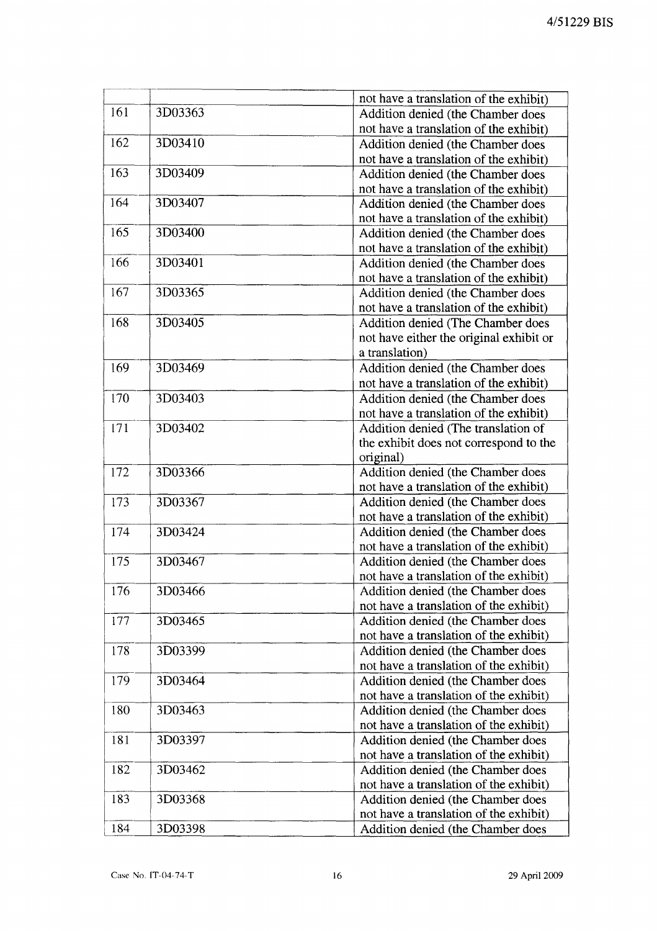|     |         | not have a translation of the exhibit)  |
|-----|---------|-----------------------------------------|
| 161 | 3D03363 | Addition denied (the Chamber does       |
|     |         | not have a translation of the exhibit)  |
| 162 | 3D03410 | Addition denied (the Chamber does       |
|     |         | not have a translation of the exhibit)  |
| 163 | 3D03409 | Addition denied (the Chamber does       |
|     |         | not have a translation of the exhibit)  |
| 164 | 3D03407 | Addition denied (the Chamber does       |
|     |         | not have a translation of the exhibit)  |
| 165 | 3D03400 | Addition denied (the Chamber does       |
|     |         | not have a translation of the exhibit)  |
| 166 | 3D03401 | Addition denied (the Chamber does       |
|     |         | not have a translation of the exhibit)  |
| 167 | 3D03365 | Addition denied (the Chamber does       |
|     |         | not have a translation of the exhibit)  |
| 168 | 3D03405 | Addition denied (The Chamber does       |
|     |         | not have either the original exhibit or |
|     |         | a translation)                          |
| 169 | 3D03469 | Addition denied (the Chamber does       |
|     |         | not have a translation of the exhibit)  |
| 170 | 3D03403 | Addition denied (the Chamber does       |
|     |         | not have a translation of the exhibit)  |
| 171 | 3D03402 | Addition denied (The translation of     |
|     |         | the exhibit does not correspond to the  |
|     |         | original)                               |
| 172 | 3D03366 | Addition denied (the Chamber does       |
|     |         | not have a translation of the exhibit)  |
| 173 | 3D03367 | Addition denied (the Chamber does       |
|     |         | not have a translation of the exhibit)  |
| 174 | 3D03424 | Addition denied (the Chamber does       |
|     |         | not have a translation of the exhibit)  |
| 175 | 3D03467 | Addition denied (the Chamber does       |
|     |         | not have a translation of the exhibit)  |
| 176 | 3D03466 | Addition denied (the Chamber does       |
|     |         | not have a translation of the exhibit)  |
| 177 | 3D03465 | Addition denied (the Chamber does       |
|     |         | not have a translation of the exhibit)  |
|     |         | Addition denied (the Chamber does       |
| 178 | 3D03399 |                                         |
|     |         | not have a translation of the exhibit)  |
| 179 | 3D03464 | Addition denied (the Chamber does       |
|     |         | not have a translation of the exhibit)  |
| 180 | 3D03463 | Addition denied (the Chamber does       |
|     |         | not have a translation of the exhibit)  |
| 181 | 3D03397 | Addition denied (the Chamber does       |
|     |         | not have a translation of the exhibit)  |
| 182 | 3D03462 | Addition denied (the Chamber does       |
|     |         | not have a translation of the exhibit)  |
| 183 | 3D03368 | Addition denied (the Chamber does       |
|     |         | not have a translation of the exhibit)  |
| 184 | 3D03398 | Addition denied (the Chamber does       |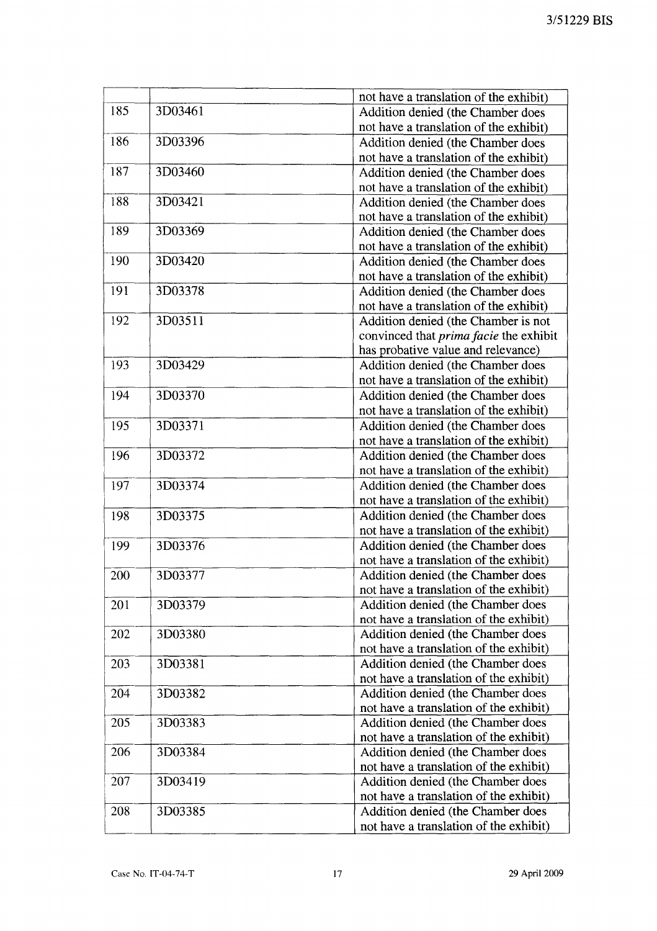|     |         | not have a translation of the exhibit)        |
|-----|---------|-----------------------------------------------|
| 185 | 3D03461 | Addition denied (the Chamber does             |
|     |         | not have a translation of the exhibit)        |
| 186 | 3D03396 | Addition denied (the Chamber does             |
|     |         | not have a translation of the exhibit)        |
| 187 | 3D03460 | Addition denied (the Chamber does             |
|     |         | not have a translation of the exhibit)        |
| 188 | 3D03421 | Addition denied (the Chamber does             |
|     |         | not have a translation of the exhibit)        |
| 189 | 3D03369 | Addition denied (the Chamber does             |
|     |         | not have a translation of the exhibit)        |
| 190 | 3D03420 | Addition denied (the Chamber does             |
|     |         | not have a translation of the exhibit)        |
| 191 | 3D03378 | Addition denied (the Chamber does             |
|     |         | not have a translation of the exhibit)        |
| 192 | 3D03511 | Addition denied (the Chamber is not           |
|     |         | convinced that <i>prima facie</i> the exhibit |
|     |         | has probative value and relevance)            |
| 193 | 3D03429 | Addition denied (the Chamber does             |
|     |         | not have a translation of the exhibit)        |
| 194 | 3D03370 | Addition denied (the Chamber does             |
|     |         | not have a translation of the exhibit)        |
| 195 | 3D03371 | Addition denied (the Chamber does             |
|     |         | not have a translation of the exhibit)        |
| 196 | 3D03372 | Addition denied (the Chamber does             |
|     |         | not have a translation of the exhibit)        |
| 197 | 3D03374 | Addition denied (the Chamber does             |
|     |         | not have a translation of the exhibit)        |
| 198 | 3D03375 | Addition denied (the Chamber does             |
|     |         | not have a translation of the exhibit)        |
| 199 | 3D03376 | Addition denied (the Chamber does             |
|     |         | not have a translation of the exhibit)        |
| 200 | 3D03377 | Addition denied (the Chamber does             |
|     |         | not have a translation of the exhibit)        |
| 201 | 3D03379 | Addition denied (the Chamber does             |
|     |         | not have a translation of the exhibit)        |
| 202 | 3D03380 | Addition denied (the Chamber does             |
|     |         | not have a translation of the exhibit)        |
| 203 | 3D03381 | Addition denied (the Chamber does             |
|     |         | not have a translation of the exhibit)        |
| 204 | 3D03382 | Addition denied (the Chamber does             |
|     |         | not have a translation of the exhibit)        |
| 205 | 3D03383 | Addition denied (the Chamber does             |
|     |         | not have a translation of the exhibit)        |
| 206 | 3D03384 | Addition denied (the Chamber does             |
|     |         | not have a translation of the exhibit)        |
| 207 | 3D03419 | Addition denied (the Chamber does             |
|     |         | not have a translation of the exhibit)        |
| 208 | 3D03385 | Addition denied (the Chamber does             |
|     |         | not have a translation of the exhibit)        |
|     |         |                                               |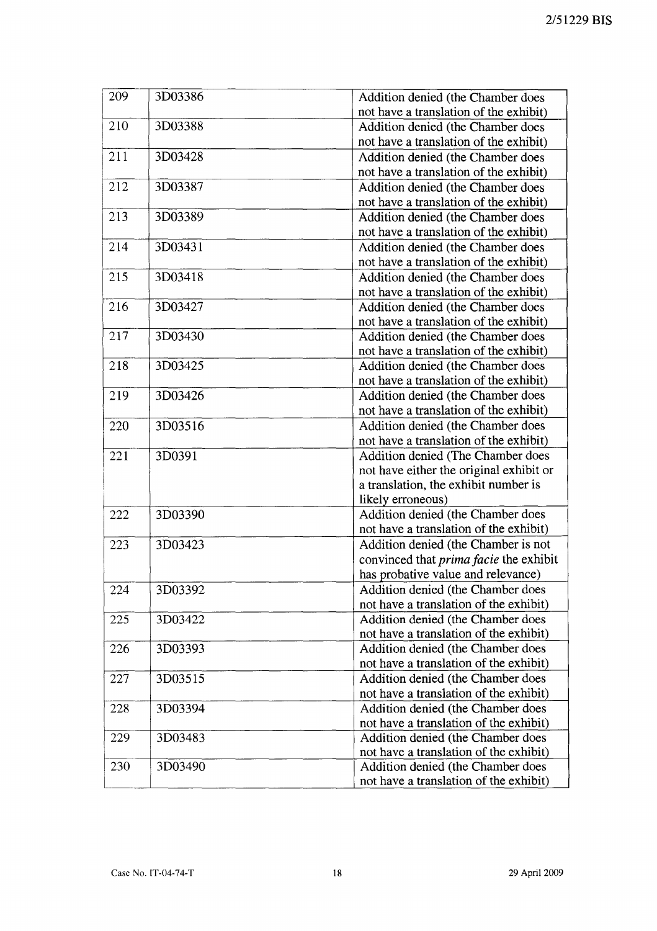| 209 | 3D03386 | Addition denied (the Chamber does             |
|-----|---------|-----------------------------------------------|
|     |         | not have a translation of the exhibit)        |
| 210 | 3D03388 | Addition denied (the Chamber does             |
|     |         | not have a translation of the exhibit)        |
| 211 | 3D03428 | Addition denied (the Chamber does             |
|     |         | not have a translation of the exhibit)        |
| 212 | 3D03387 | Addition denied (the Chamber does             |
|     |         | not have a translation of the exhibit)        |
| 213 | 3D03389 | Addition denied (the Chamber does             |
|     |         | not have a translation of the exhibit)        |
| 214 | 3D03431 | Addition denied (the Chamber does             |
|     |         | not have a translation of the exhibit)        |
| 215 | 3D03418 | Addition denied (the Chamber does             |
|     |         | not have a translation of the exhibit)        |
| 216 | 3D03427 | Addition denied (the Chamber does             |
|     |         | not have a translation of the exhibit)        |
| 217 | 3D03430 | Addition denied (the Chamber does             |
|     |         | not have a translation of the exhibit)        |
| 218 | 3D03425 | Addition denied (the Chamber does             |
|     |         | not have a translation of the exhibit)        |
| 219 | 3D03426 | Addition denied (the Chamber does             |
|     |         | not have a translation of the exhibit)        |
| 220 | 3D03516 | Addition denied (the Chamber does             |
|     |         | not have a translation of the exhibit)        |
| 221 | 3D0391  | Addition denied (The Chamber does             |
|     |         | not have either the original exhibit or       |
|     |         | a translation, the exhibit number is          |
|     |         | likely erroneous)                             |
| 222 | 3D03390 | Addition denied (the Chamber does             |
|     |         | not have a translation of the exhibit)        |
| 223 | 3D03423 | Addition denied (the Chamber is not           |
|     |         | convinced that <i>prima facie</i> the exhibit |
|     |         | has probative value and relevance)            |
| 224 | 3D03392 | Addition denied (the Chamber does             |
|     |         | not have a translation of the exhibit)        |
| 225 | 3D03422 | Addition denied (the Chamber does             |
|     |         | not have a translation of the exhibit)        |
| 226 | 3D03393 | Addition denied (the Chamber does             |
|     |         | not have a translation of the exhibit)        |
| 227 | 3D03515 | Addition denied (the Chamber does             |
|     |         | not have a translation of the exhibit)        |
| 228 | 3D03394 | Addition denied (the Chamber does             |
|     |         | not have a translation of the exhibit)        |
| 229 | 3D03483 | Addition denied (the Chamber does             |
|     |         | not have a translation of the exhibit)        |
| 230 | 3D03490 | Addition denied (the Chamber does             |
|     |         | not have a translation of the exhibit)        |